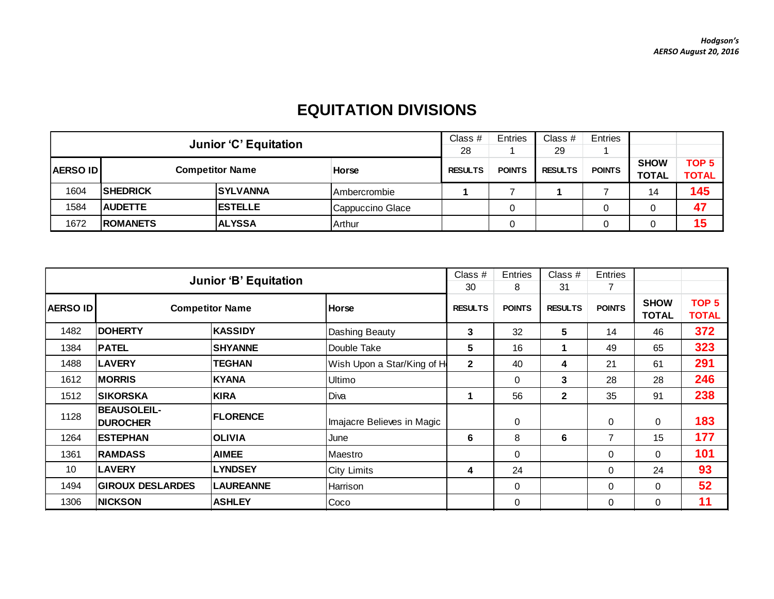## **EQUITATION DIVISIONS**

|                                           | <b>Junior 'C' Equitation</b> |                 |                  |                | <b>Entries</b> | Class $#$      | Entries       |              |                  |
|-------------------------------------------|------------------------------|-----------------|------------------|----------------|----------------|----------------|---------------|--------------|------------------|
|                                           |                              |                 |                  |                |                | 29             |               |              |                  |
|                                           |                              |                 |                  | <b>RESULTS</b> | <b>POINTS</b>  | <b>RESULTS</b> | <b>POINTS</b> | <b>SHOW</b>  | TOP <sub>5</sub> |
| <b>Competitor Name</b><br><b>AERSO ID</b> |                              |                 | Horse            |                |                |                |               | <b>TOTAL</b> | <b>TOTAL</b>     |
| 1604                                      | <b>ISHEDRICK</b>             | <b>SYLVANNA</b> | Ambercrombie     |                |                |                |               | 14           | 145              |
| 1584                                      | <b>AUDETTE</b>               | <b>ESTELLE</b>  | Cappuccino Glace |                |                |                | $\Omega$      |              | 47               |
| 1672                                      | <b>ROMANETS</b>              | <b>ALYSSA</b>   | Arthur           |                |                |                | 0             |              | 15               |

|                 | <b>Junior 'B' Equitation</b>          |                  | Class #<br>30              | Entries<br>8  | Class #<br>31  | Entries<br>7  |                             |                                  |     |
|-----------------|---------------------------------------|------------------|----------------------------|---------------|----------------|---------------|-----------------------------|----------------------------------|-----|
| <b>AERSO ID</b> | <b>Competitor Name</b>                | <b>Horse</b>     | <b>RESULTS</b>             | <b>POINTS</b> | <b>RESULTS</b> | <b>POINTS</b> | <b>SHOW</b><br><b>TOTAL</b> | TOP <sub>5</sub><br><b>TOTAL</b> |     |
| 1482            | <b>DOHERTY</b>                        | <b>KASSIDY</b>   | Dashing Beauty             | 3             | 32             | 5             | 14                          | 46                               | 372 |
| 1384            | <b>PATEL</b>                          | <b>SHYANNE</b>   | Double Take                | 5             | 16             | 1             | 49                          | 65                               | 323 |
| 1488            | <b>LAVERY</b>                         | <b>TEGHAN</b>    | Wish Upon a Star/King of H | $\mathbf{2}$  | 40             | 4             | 21                          | 61                               | 291 |
| 1612            | <b>MORRIS</b>                         | <b>KYANA</b>     | Ultimo                     |               | 0              | 3             | 28                          | 28                               | 246 |
| 1512            | <b>SIKORSKA</b>                       | <b>KIRA</b>      | Diva                       |               | 56             | $\mathbf{2}$  | 35                          | 91                               | 238 |
| 1128            | <b>BEAUSOLEIL-</b><br><b>DUROCHER</b> | <b>FLORENCE</b>  | Imajacre Believes in Magic |               | 0              |               | $\mathbf 0$                 | 0                                | 183 |
| 1264            | <b>ESTEPHAN</b>                       | <b>OLIVIA</b>    | June                       | 6             | 8              | 6             | 7                           | 15                               | 177 |
| 1361            | <b>RAMDASS</b>                        | <b>AIMEE</b>     | Maestro                    |               | $\mathbf 0$    |               | $\Omega$                    | $\Omega$                         | 101 |
| 10              | <b>LAVERY</b>                         | <b>LYNDSEY</b>   | <b>City Limits</b>         | 4             | 24             |               | $\Omega$                    | 24                               | 93  |
| 1494            | <b>GIROUX DESLARDES</b>               | <b>LAUREANNE</b> | Harrison                   |               | 0              |               | $\mathbf 0$                 | 0                                | 52  |
| 1306            | <b>NICKSON</b>                        | <b>ASHLEY</b>    | Coco                       |               | 0              |               | $\mathbf{0}$                | $\Omega$                         | 11  |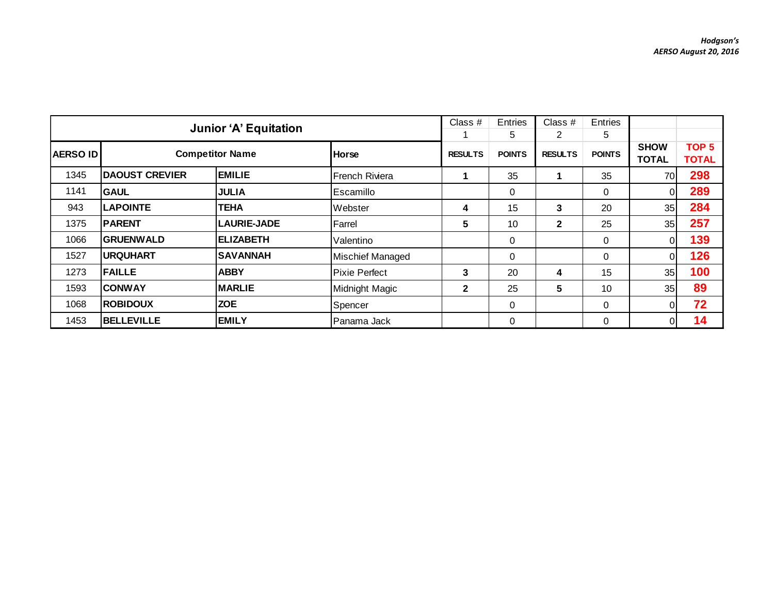|                                          | <b>Junior 'A' Equitation</b> |                    |                      |                |               | Class $#$      | Entries       |                             |                                  |
|------------------------------------------|------------------------------|--------------------|----------------------|----------------|---------------|----------------|---------------|-----------------------------|----------------------------------|
|                                          |                              |                    |                      | 5              | 2             | 5              |               |                             |                                  |
| <b>Competitor Name</b><br><b>AERSOID</b> |                              |                    | <b>Horse</b>         | <b>RESULTS</b> | <b>POINTS</b> | <b>RESULTS</b> | <b>POINTS</b> | <b>SHOW</b><br><b>TOTAL</b> | TOP <sub>5</sub><br><b>TOTAL</b> |
| 1345                                     | <b>DAOUST CREVIER</b>        | <b>EMILIE</b>      | French Riviera       |                | 35            |                | 35            | 70                          | 298                              |
| 1141                                     | <b>GAUL</b>                  | <b>JULIA</b>       | Escamillo            |                | 0             |                | 0             | $\mathbf{0}$                | 289                              |
| 943                                      | <b>LAPOINTE</b>              | <b>TEHA</b>        | Webster              | 4              | 15            | 3              | 20            | 35                          | 284                              |
| 1375                                     | <b>PARENT</b>                | <b>LAURIE-JADE</b> | Farrel               | 5              | 10            | $\mathbf{2}$   | 25            | 35                          | 257                              |
| 1066                                     | <b>GRUENWALD</b>             | <b>ELIZABETH</b>   | Valentino            |                | 0             |                | 0             | 0                           | 139                              |
| 1527                                     | <b>URQUHART</b>              | <b>SAVANNAH</b>    | Mischief Managed     |                | 0             |                | $\mathbf 0$   | $\mathbf 0$                 | 126                              |
| 1273                                     | <b>FAILLE</b>                | <b>ABBY</b>        | <b>Pixie Perfect</b> | 3              | 20            | 4              | 15            | 35                          | 100                              |
| 1593                                     | <b>CONWAY</b>                | <b>MARLIE</b>      | Midnight Magic       | $\mathbf{2}$   | 25            | 5              | 10            | 35                          | 89                               |
| 1068                                     | <b>ROBIDOUX</b>              | <b>ZOE</b>         | Spencer              |                | 0             |                | $\mathbf 0$   | $\mathbf{0}$                | 72                               |
| 1453                                     | <b>BELLEVILLE</b>            | <b>EMILY</b>       | Panama Jack          |                | 0             |                | 0             | $\overline{0}$              | 14                               |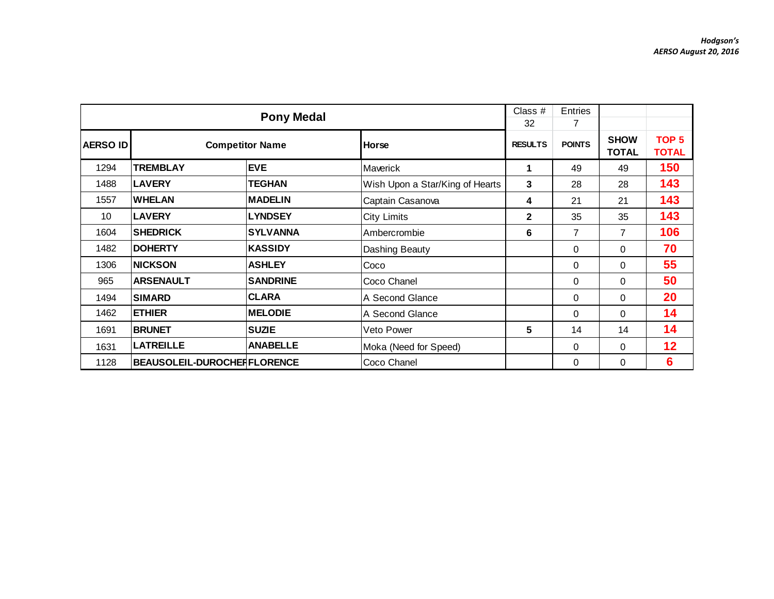|          |                                    | <b>Pony Medal</b>      |                                 | Class #<br>32  | <b>Entries</b><br>7 |                             |                                  |
|----------|------------------------------------|------------------------|---------------------------------|----------------|---------------------|-----------------------------|----------------------------------|
| AERSO ID |                                    | <b>Competitor Name</b> | <b>Horse</b>                    | <b>RESULTS</b> | <b>POINTS</b>       | <b>SHOW</b><br><b>TOTAL</b> | TOP <sub>5</sub><br><b>TOTAL</b> |
| 1294     | <b>TREMBLAY</b>                    | <b>EVE</b>             | Maverick                        | 1              | 49                  | 49                          | 150                              |
| 1488     | <b>LAVERY</b>                      | <b>TEGHAN</b>          | Wish Upon a Star/King of Hearts | 3              | 28                  | 28                          | 143                              |
| 1557     | <b>WHELAN</b>                      | <b>IMADELIN</b>        | Captain Casanova                | 4              | 21                  | 21                          | 143                              |
| 10       | <b>LAVERY</b>                      | <b>LYNDSEY</b>         | <b>City Limits</b>              | $\mathbf{2}$   | 35                  | 35                          | 143                              |
| 1604     | <b>SHEDRICK</b>                    | <b>SYLVANNA</b>        | Ambercrombie                    | 6              | 7                   | 7                           | 106                              |
| 1482     | <b>DOHERTY</b>                     | <b>KASSIDY</b>         | Dashing Beauty                  |                | 0                   | 0                           | 70                               |
| 1306     | <b>NICKSON</b>                     | <b>ASHLEY</b>          | Coco                            |                | 0                   | $\Omega$                    | 55                               |
| 965      | <b>ARSENAULT</b>                   | <b>SANDRINE</b>        | Coco Chanel                     |                | $\mathbf 0$         | $\Omega$                    | 50                               |
| 1494     | <b>SIMARD</b>                      | ICLARA                 | A Second Glance                 |                | $\Omega$            | 0                           | 20                               |
| 1462     | <b>ETHIER</b>                      | <b>MELODIE</b>         | A Second Glance                 |                | $\Omega$            | $\Omega$                    | 14                               |
| 1691     | <b>BRUNET</b>                      | <b>SUZIE</b>           | Veto Power                      | 5              | 14                  | 14                          | 14                               |
| 1631     | <b>LATREILLE</b>                   | <b>ANABELLE</b>        | Moka (Need for Speed)           |                | $\Omega$            | 0                           | 12                               |
| 1128     | <b>BEAUSOLEIL-DUROCHERFLORENCE</b> |                        | Coco Chanel                     |                | $\Omega$            | 0                           | 6                                |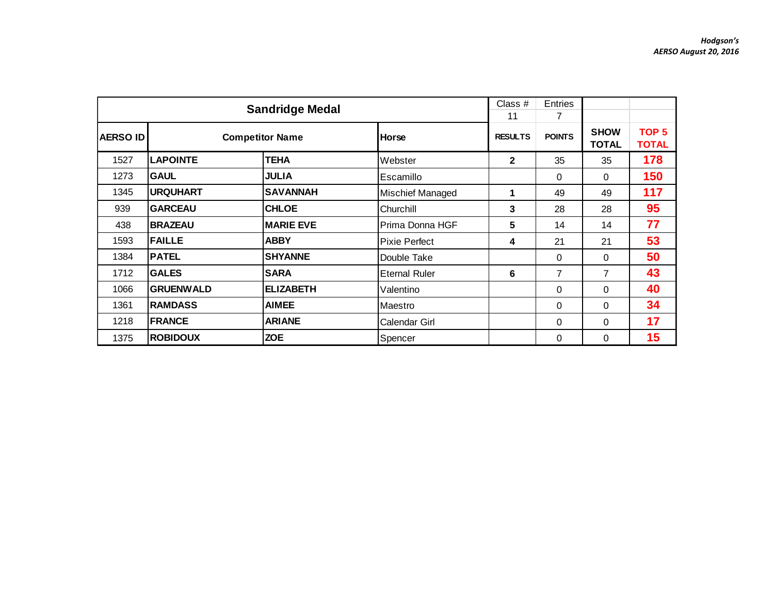|            |                  | <b>Sandridge Medal</b> |                      | Class #<br>11  | Entries<br>7   |                             |                                  |
|------------|------------------|------------------------|----------------------|----------------|----------------|-----------------------------|----------------------------------|
| ∣AERSO IDI |                  | <b>Competitor Name</b> | Horse                | <b>RESULTS</b> | <b>POINTS</b>  | <b>SHOW</b><br><b>TOTAL</b> | TOP <sub>5</sub><br><b>TOTAL</b> |
| 1527       | <b>LAPOINTE</b>  | <b>TEHA</b>            | Webster              | $\mathbf{2}$   | 35             | 35                          | 178                              |
| 1273       | <b>GAUL</b>      | <b>JULIA</b>           | Escamillo            |                | 0              | $\Omega$                    | 150                              |
| 1345       | <b>URQUHART</b>  | <b>SAVANNAH</b>        | Mischief Managed     | 1              | 49             | 49                          | 117                              |
| 939        | <b>GARCEAU</b>   | <b>CHLOE</b>           | Churchill            | 3              | 28             | 28                          | 95                               |
| 438        | <b>BRAZEAU</b>   | <b>MARIE EVE</b>       | Prima Donna HGF      | 5              | 14             | 14                          | 77                               |
| 1593       | <b>FAILLE</b>    | <b>ABBY</b>            | <b>Pixie Perfect</b> | 4              | 21             | 21                          | 53                               |
| 1384       | <b>PATEL</b>     | <b>SHYANNE</b>         | Double Take          |                | 0              | $\Omega$                    | 50                               |
| 1712       | <b>GALES</b>     | <b>SARA</b>            | <b>Eternal Ruler</b> | 6              | $\overline{7}$ | 7                           | 43                               |
| 1066       | <b>GRUENWALD</b> | <b>ELIZABETH</b>       | Valentino            |                | 0              | $\Omega$                    | 40                               |
| 1361       | <b>RAMDASS</b>   | <b>AIMEE</b>           | Maestro              |                | 0              | $\Omega$                    | 34                               |
| 1218       | <b>FRANCE</b>    | <b>ARIANE</b>          | Calendar Girl        |                | 0              | $\mathbf 0$                 | 17                               |
| 1375       | <b>ROBIDOUX</b>  | <b>ZOE</b>             | Spencer              |                | 0              | $\mathbf 0$                 | 15                               |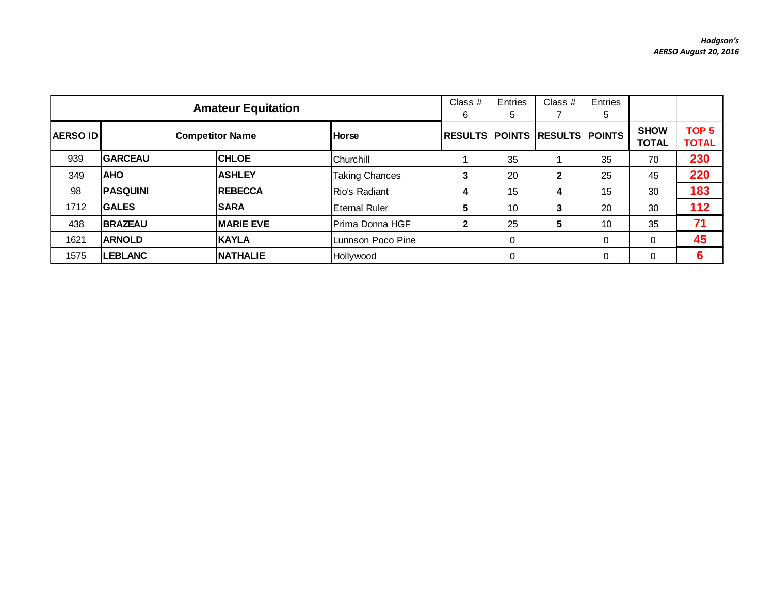|                 | <b>Amateur Equitation</b> |                        | Class #<br>6          | Entries<br>5   | Class $#$ | Entries<br>5                 |             |                             |                                  |
|-----------------|---------------------------|------------------------|-----------------------|----------------|-----------|------------------------------|-------------|-----------------------------|----------------------------------|
| <b>AERSO ID</b> |                           | <b>Competitor Name</b> | <b>Horse</b>          | <b>RESULTS</b> |           | <b>POINTS RESULTS POINTS</b> |             | <b>SHOW</b><br><b>TOTAL</b> | TOP <sub>5</sub><br><b>TOTAL</b> |
| 939             | <b>GARCEAU</b>            | <b>CHLOE</b>           | Churchill             |                | 35        |                              | 35          | 70                          | 230                              |
| 349             | <b>AHO</b>                | <b>ASHLEY</b>          | <b>Taking Chances</b> | 3              | 20        | $\mathbf{2}$                 | 25          | 45                          | 220                              |
| 98              | <b>PASQUINI</b>           | <b>REBECCA</b>         | <b>Rio's Radiant</b>  | 4              | 15        | 4                            | 15          | 30                          | 183                              |
| 1712            | <b>GALES</b>              | <b>SARA</b>            | Eternal Ruler         | 5              | 10        | 3                            | 20          | 30                          | 112                              |
| 438             | <b>BRAZEAU</b>            | <b>MARIE EVE</b>       | Prima Donna HGF       | $\mathbf{2}$   | 25        | 5                            | 10          | 35                          | 71                               |
| 1621            | <b>ARNOLD</b>             | <b>KAYLA</b>           | Lunnson Poco Pine     |                | 0         |                              | $\mathbf 0$ |                             | 45                               |
| 1575            | <b>LEBLANC</b>            | <b>NATHALIE</b>        | Hollywood             |                | $\Omega$  |                              | $\Omega$    |                             | 6                                |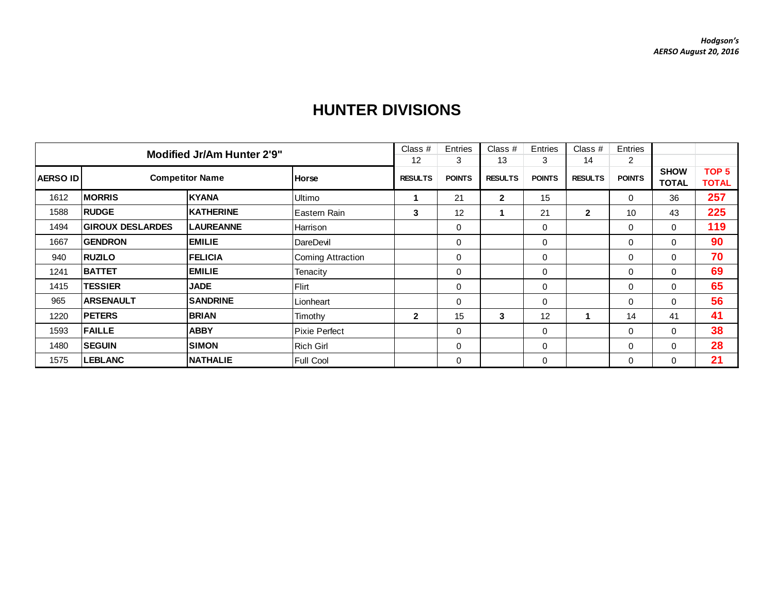| <b>Modified Jr/Am Hunter 2'9"</b> |                         |                        |                          | Class $#$      | Entries       | Class $#$      | Entries       | Class $#$      | Entries        |                             |                                  |
|-----------------------------------|-------------------------|------------------------|--------------------------|----------------|---------------|----------------|---------------|----------------|----------------|-----------------------------|----------------------------------|
|                                   |                         |                        |                          | 12             | 3             | 13             | 3             | 14             | $\overline{2}$ |                             |                                  |
| <b>AERSO ID</b>                   |                         | <b>Competitor Name</b> | <b>Horse</b>             | <b>RESULTS</b> | <b>POINTS</b> | <b>RESULTS</b> | <b>POINTS</b> | <b>RESULTS</b> | <b>POINTS</b>  | <b>SHOW</b><br><b>TOTAL</b> | TOP <sub>5</sub><br><b>TOTAL</b> |
| 1612                              | <b>MORRIS</b>           | <b>KYANA</b>           | <b>Ultimo</b>            | 1              | 21            | $\mathbf{2}$   | 15            |                | $\Omega$       | 36                          | 257                              |
| 1588                              | <b>RUDGE</b>            | <b>KATHERINE</b>       | Eastern Rain             | 3              | 12            |                | 21            | $\mathbf{2}$   | 10             | 43                          | 225                              |
| 1494                              | <b>GIROUX DESLARDES</b> | <b>LAUREANNE</b>       | Harrison                 |                | $\mathbf 0$   |                | $\mathbf 0$   |                | $\Omega$       | 0                           | 119                              |
| 1667                              | <b>GENDRON</b>          | <b>EMILIE</b>          | DareDevil                |                | $\mathbf 0$   |                | $\mathbf 0$   |                | $\Omega$       | 0                           | 90                               |
| 940                               | <b>RUZILO</b>           | <b>FELICIA</b>         | <b>Coming Attraction</b> |                | $\mathbf 0$   |                | $\mathbf 0$   |                | 0              | 0                           | 70                               |
| 1241                              | <b>BATTET</b>           | <b>EMILIE</b>          | Tenacity                 |                | $\mathbf 0$   |                | $\mathbf{0}$  |                | 0              | 0                           | 69                               |
| 1415                              | <b>TESSIER</b>          | <b>JADE</b>            | Flirt                    |                | $\mathbf 0$   |                | $\mathbf 0$   |                | 0              | 0                           | 65                               |
| 965                               | <b>ARSENAULT</b>        | <b>SANDRINE</b>        | Lionheart                |                | $\mathbf 0$   |                | $\mathbf 0$   |                | $\Omega$       | 0                           | 56                               |
| 1220                              | <b>PETERS</b>           | <b>BRIAN</b>           | Timothy                  | $\mathbf{2}$   | 15            | 3              | 12            |                | 14             | 41                          | 41                               |
| 1593                              | <b>FAILLE</b>           | <b>ABBY</b>            | lPixie Perfect           |                | $\mathbf{0}$  |                | $\Omega$      |                | 0              | $\Omega$                    | 38                               |
| 1480                              | <b>SEGUIN</b>           | <b>SIMON</b>           | <b>Rich Girl</b>         |                | $\mathbf 0$   |                | $\mathbf 0$   |                | 0              | 0                           | 28                               |
| 1575                              | <b>LEBLANC</b>          | <b>NATHALIE</b>        | Full Cool                |                | $\mathbf 0$   |                | $\mathbf 0$   |                | 0              | $\Omega$                    | 21                               |

## **HUNTER DIVISIONS**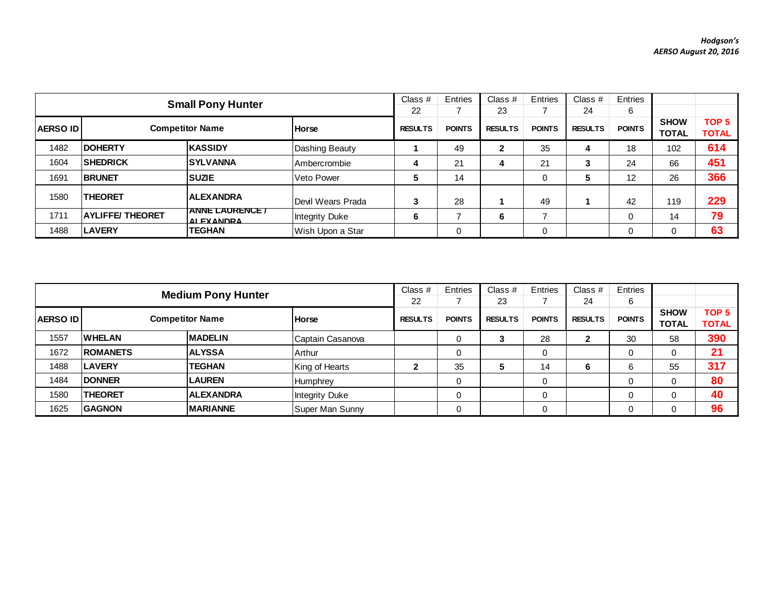|                  | <b>Small Pony Hunter</b> |                                             |                       |                |               | Class $#$<br>23 | Entries       | Class $#$<br>24 | Entries<br>6  |                             |                                  |
|------------------|--------------------------|---------------------------------------------|-----------------------|----------------|---------------|-----------------|---------------|-----------------|---------------|-----------------------------|----------------------------------|
| <b>AERSO IDI</b> |                          | <b>Competitor Name</b>                      | <b>Horse</b>          | <b>RESULTS</b> | <b>POINTS</b> | <b>RESULTS</b>  | <b>POINTS</b> | <b>RESULTS</b>  | <b>POINTS</b> | <b>SHOW</b><br><b>TOTAL</b> | TOP <sub>5</sub><br><b>TOTAL</b> |
| 1482             | <b>IDOHERTY</b>          | <b>KASSIDY</b>                              | Dashing Beauty        |                | 49            |                 | 35            | 4               | 18            | 102                         | 614                              |
| 1604             | <b>ISHEDRICK</b>         | <b>ISYLVANNA</b>                            | Ambercrombie          |                | 21            | 4               | 21            | 3               | 24            | 66                          | 451                              |
| 1691             | <b>BRUNET</b>            | <b>SUZIE</b>                                | Veto Power            |                | 14            |                 | 0             | 5               | 12            | 26                          | 366                              |
| 1580             | <b>THEORET</b>           | <b>ALEXANDRA</b>                            | IDevil Wears Prada    | 3              | 28            |                 | 49            |                 | 42            | 119                         | 229                              |
| 1711             | <b>AYLIFFE/ THEORET</b>  | <b>ANNE LAURENCE /</b><br><b>AI FYANDRA</b> | <b>Integrity Duke</b> | 6              |               | 6               |               |                 |               | 14                          | 79                               |
| 1488             | <b>LAVERY</b>            | <b>TEGHAN</b>                               | Wish Upon a Star      |                |               |                 |               |                 |               |                             | 63                               |

| <b>Medium Pony Hunter</b> |                 |                        |                       |                | Entries       | Class $#$      | Entries       | Class $#$      | Entries       |                             |                                  |
|---------------------------|-----------------|------------------------|-----------------------|----------------|---------------|----------------|---------------|----------------|---------------|-----------------------------|----------------------------------|
|                           |                 |                        |                       |                |               | 23             |               | 24             | 6             |                             |                                  |
| <b>AERSO IDI</b>          |                 | <b>Competitor Name</b> | <b>Horse</b>          | <b>RESULTS</b> | <b>POINTS</b> | <b>RESULTS</b> | <b>POINTS</b> | <b>RESULTS</b> | <b>POINTS</b> | <b>SHOW</b><br><b>TOTAL</b> | TOP <sub>5</sub><br><b>TOTAL</b> |
| 1557                      | <b>IWHELAN</b>  | <b>MADELIN</b>         | Captain Casanova      |                | 0             | 3              | 28            | $\mathbf{2}$   | 30            | 58                          | 390                              |
| 1672                      | <b>ROMANETS</b> | <b>IALYSSA</b>         | Arthur                |                | 0             |                |               |                |               | 0                           | 21                               |
| 1488                      | <b>LAVERY</b>   | TEGHAN                 | King of Hearts        | 2              | 35            | 5              | 14            | 6              | 6             | 55                          | 317                              |
| 1484                      | <b>DONNER</b>   | <b>LAUREN</b>          | Humphrey              |                | 0             |                |               |                |               | 0                           | 80                               |
| 1580                      | <b>THEORET</b>  | <b>ALEXANDRA</b>       | <b>Integrity Duke</b> |                | 0             |                |               |                |               | 0                           | 40                               |
| 1625                      | <b>GAGNON</b>   | <b>IMARIANNE</b>       | Super Man Sunny       |                |               |                |               |                |               | 0                           | 96                               |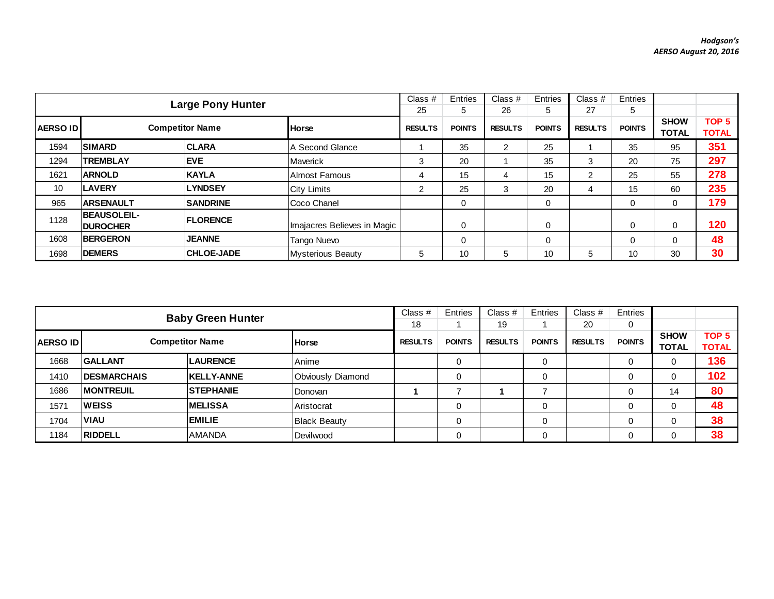| <b>Large Pony Hunter</b> |                                       |                        |                             | Class $#$      | Entries       | Class #        | Entries       | Class $#$      | Entries       |              |                  |
|--------------------------|---------------------------------------|------------------------|-----------------------------|----------------|---------------|----------------|---------------|----------------|---------------|--------------|------------------|
|                          |                                       |                        |                             |                | 5             | 26             | 5             | 27             | 5             |              |                  |
| <b>AERSO ID</b>          |                                       | <b>Competitor Name</b> | <b>Horse</b>                | <b>RESULTS</b> | <b>POINTS</b> | <b>RESULTS</b> | <b>POINTS</b> | <b>RESULTS</b> | <b>POINTS</b> | <b>SHOW</b>  | TOP <sub>5</sub> |
|                          |                                       |                        |                             |                |               |                |               |                |               | <b>TOTAL</b> | <b>TOTAL</b>     |
| 1594                     | <b>SIMARD</b>                         | <b>CLARA</b>           | IA Second Glance            |                | 35            |                | 25            |                | 35            | 95           | 351              |
| 1294                     | <b>TREMBLAY</b>                       | <b>IEVE</b>            | <b>IMaverick</b>            | 3              | 20            |                | 35            | 3              | 20            | 75           | 297              |
| 1621                     | <b>ARNOLD</b>                         | <b>KAYLA</b>           | IAlmost Famous              | 4              | 15            | 4              | 15            | ◠              | 25            | 55           | 278              |
| 10                       | <b>LAVERY</b>                         | <b>LYNDSEY</b>         | <b>City Limits</b>          | 2              | 25            | 3              | 20            | 4              | 15            | 60           | 235              |
| 965                      | <b>ARSENAULT</b>                      | <b>SANDRINE</b>        | Coco Chanel                 |                | 0             |                | 0             |                | $\Omega$      | 0            | 179              |
| 1128                     | <b>BEAUSOLEIL-</b><br><b>DUROCHER</b> | <b>IFLORENCE</b>       | Imajacres Believes in Magic |                | 0             |                | 0             |                | 0             | 0            | 120              |
| 1608                     | <b>BERGERON</b>                       | <b>JEANNE</b>          | <b>Tango Nuevo</b>          |                | $\Omega$      |                | $\mathbf 0$   |                | $\Omega$      |              | 48               |
| 1698                     | <b>DEMERS</b>                         | <b>CHLOE-JADE</b>      | Mysterious Beauty           | 5              | 10            | 5              | 10            | 5              | 10            | 30           | 30               |

|                  | <b>Baby Green Hunter</b> |                        |                     |                |               | Class $#$      | Entries       | Class $#$      | Entries       |                             |                                  |
|------------------|--------------------------|------------------------|---------------------|----------------|---------------|----------------|---------------|----------------|---------------|-----------------------------|----------------------------------|
|                  |                          |                        |                     |                |               | 19             |               | 20             | 0             |                             |                                  |
| <b>AERSO IDI</b> |                          | <b>Competitor Name</b> | <b>Horse</b>        | <b>RESULTS</b> | <b>POINTS</b> | <b>RESULTS</b> | <b>POINTS</b> | <b>RESULTS</b> | <b>POINTS</b> | <b>SHOW</b><br><b>TOTAL</b> | TOP <sub>5</sub><br><b>TOTAL</b> |
| 1668             | <b>GALLANT</b>           | <b>LAURENCE</b>        | Anime               |                | 0             |                |               |                |               | 0                           | 136                              |
| 1410             | <b>IDESMARCHAIS</b>      | <b>KELLY-ANNE</b>      | Obviously Diamond   |                | 0             |                |               |                |               | 0                           | 102                              |
| 1686             | <b>IMONTREUIL</b>        | <b>STEPHANIE</b>       | Donovan             |                |               |                |               |                |               | 14                          | 80                               |
| 1571             | <b>IWEISS</b>            | <b>IMELISSA</b>        | Aristocrat          |                | 0             |                |               |                |               | 0                           | 48                               |
| 1704             | <b>VIAU</b>              | <b>EMILIE</b>          | <b>Black Beauty</b> |                | 0             |                |               |                |               | 0                           | 38                               |
| 1184             | <b>RIDDELL</b>           | <b>AMANDA</b>          | Devilwood           |                |               |                |               |                |               |                             | 38                               |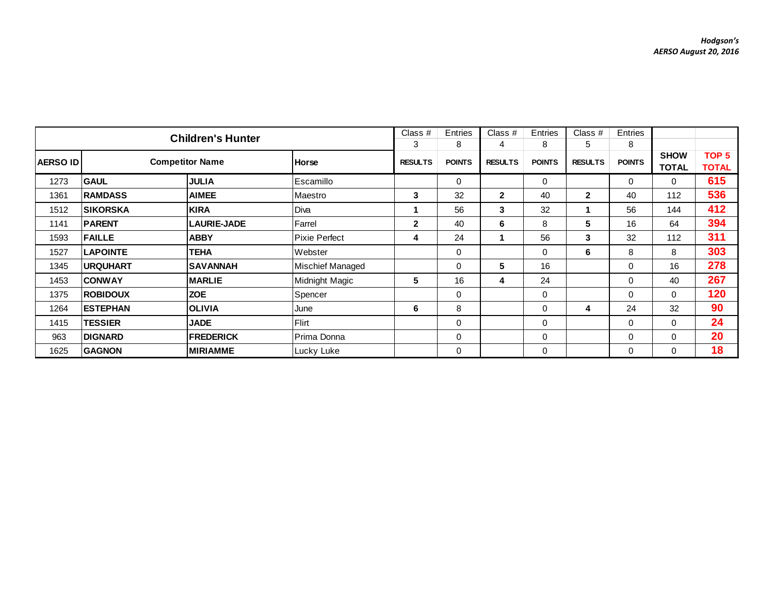| <b>Children's Hunter</b> |                                                    |                    |                         |                | Entries       | Class #        | Entries       | Class #        | Entries       |              |                  |
|--------------------------|----------------------------------------------------|--------------------|-------------------------|----------------|---------------|----------------|---------------|----------------|---------------|--------------|------------------|
|                          |                                                    |                    |                         | 3              | 8             | 4              | 8             | 5              | 8             |              |                  |
|                          | <b>Competitor Name</b><br><b>AERSO ID</b><br>Horse |                    |                         | <b>RESULTS</b> | <b>POINTS</b> | <b>RESULTS</b> | <b>POINTS</b> | <b>RESULTS</b> | <b>POINTS</b> | <b>SHOW</b>  | TOP <sub>5</sub> |
|                          |                                                    |                    |                         |                |               |                |               |                |               | <b>TOTAL</b> | <b>TOTAL</b>     |
| 1273                     | <b>GAUL</b>                                        | <b>JULIA</b>       | <b>Escamillo</b>        |                | 0             |                | $\mathbf 0$   |                | $\Omega$      | 0            | 615              |
| 1361                     | <b>RAMDASS</b>                                     | <b>AIMEE</b>       | Maestro                 | 3              | 32            | $\mathbf{2}$   | 40            | $\mathbf{2}$   | 40            | 112          | 536              |
| 1512                     | <b>ISIKORSKA</b>                                   | <b>KIRA</b>        | Diva                    |                | 56            | 3              | 32            |                | 56            | 144          | 412              |
| 1141                     | <b>PARENT</b>                                      | <b>LAURIE-JADE</b> | Farrel                  | $\mathbf{2}$   | 40            | 6              | 8             | 5              | 16            | 64           | 394              |
| 1593                     | <b>FAILLE</b>                                      | <b>ABBY</b>        | Pixie Perfect           | 4              | 24            | 1              | 56            | 3              | 32            | 112          | 311              |
| 1527                     | <b>LAPOINTE</b>                                    | <b>TEHA</b>        | Webster                 |                | 0             |                | $\mathbf 0$   | 6              | 8             | 8            | 303              |
| 1345                     | <b>URQUHART</b>                                    | <b>SAVANNAH</b>    | <b>Mischief Managed</b> |                | $\Omega$      | 5              | 16            |                | $\Omega$      | 16           | 278              |
| 1453                     | <b>CONWAY</b>                                      | <b>MARLIE</b>      | Midnight Magic          | 5              | 16            | 4              | 24            |                | 0             | 40           | 267              |
| 1375                     | <b>ROBIDOUX</b>                                    | <b>ZOE</b>         | Spencer                 |                | 0             |                | $\mathbf 0$   |                | $\Omega$      | 0            | 120              |
| 1264                     | <b>ESTEPHAN</b>                                    | <b>OLIVIA</b>      | June                    | 6              | 8             |                | $\mathbf 0$   | 4              | 24            | 32           | 90               |
| 1415                     | <b>TESSIER</b>                                     | <b>JADE</b>        | <b>Flirt</b>            |                | $\Omega$      |                | $\mathbf 0$   |                | $\Omega$      | 0            | 24               |
| 963                      | <b>DIGNARD</b>                                     | <b>FREDERICK</b>   | Prima Donna             |                | 0             |                | $\mathbf 0$   |                | 0             | 0            | 20               |
| 1625                     | <b>GAGNON</b>                                      | <b>MIRIAMME</b>    | Lucky Luke              |                | $\Omega$      |                | $\mathbf 0$   |                | $\Omega$      | 0            | 18               |